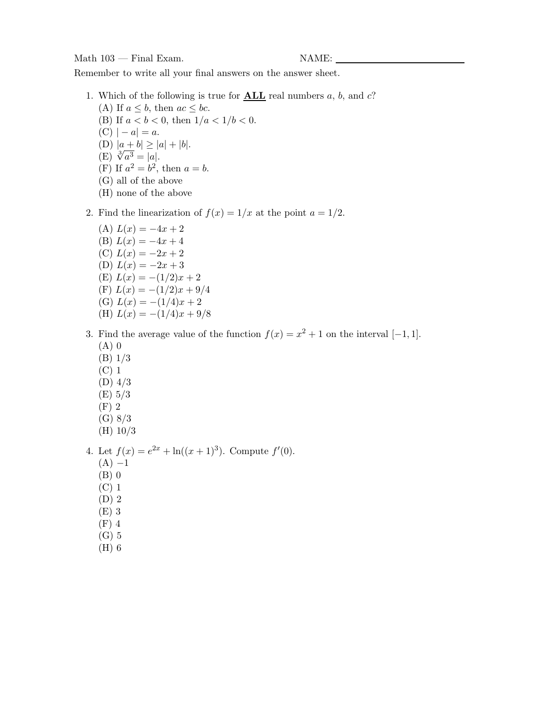Remember to write all your final answers on the answer sheet.

- 1. Which of the following is true for **ALL** real numbers a, b, and c? (A) If  $a \leq b$ , then  $ac \leq bc$ . (B) If  $a < b < 0$ , then  $1/a < 1/b < 0$ .  $(C) | - a| = a.$ (D)  $|a + b| \ge |a| + |b|.$ (E)  $\sqrt[3]{a^3} = |a|$ . (F) If  $a^2 = b^2$ , then  $a = b$ . (G) all of the above
	- (H) none of the above
- 2. Find the linearization of  $f(x)=1/x$  at the point  $a = 1/2$ .
	- (A)  $L(x) = -4x + 2$ (B)  $L(x) = -4x + 4$ (C)  $L(x) = -2x + 2$ (D)  $L(x) = -2x + 3$ (E)  $L(x) = -(1/2)x + 2$ (F)  $L(x) = -(1/2)x + 9/4$ (G)  $L(x) = -(1/4)x + 2$ (H)  $L(x) = -(1/4)x + 9/8$
- 3. Find the average value of the function  $f(x) = x^2 + 1$  on the interval [−1, 1]. (A) 0
	- (B) 1/3
	- (C) 1
	- (D) 4/3
	- (E) 5/3
	- (F) 2
	- (G) 8/3
	- (H) 10/3

4. Let  $f(x) = e^{2x} + \ln((x+1)^3)$ . Compute  $f'(0)$ .

- $(A) -1$
- (B) 0
- (C) 1
- (D) 2
- (E) 3
- (F) 4
- (G) 5
- (H) 6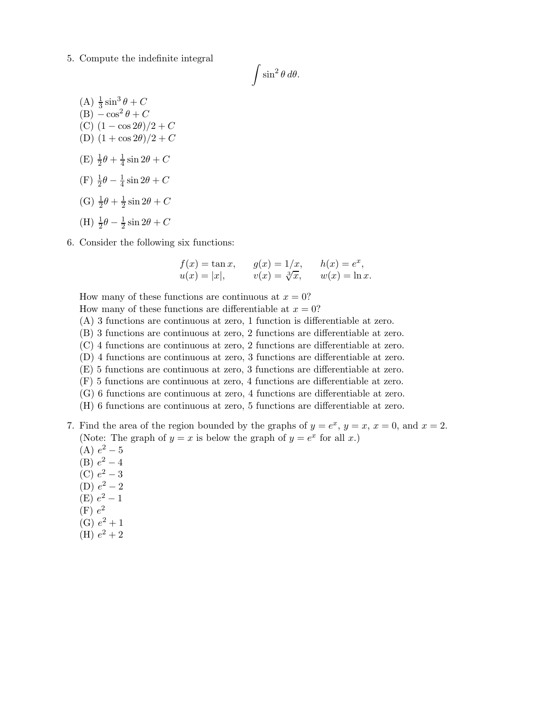5. Compute the indefinite integral

 $\int \sin^2 \theta \, d\theta.$ 

- (A)  $\frac{1}{3}\sin^3\theta + C$  $(B) - \cos^2 \theta + C$ (C)  $(1 - \cos 2\theta)/2 + C$ (D)  $(1 + \cos 2\theta)/2 + C$  $(E) \frac{1}{2}\theta + \frac{1}{4}\sin 2\theta + C$ (F)  $\frac{1}{2}\theta - \frac{1}{4}\sin 2\theta + C$ (G)  $\frac{1}{2}\theta + \frac{1}{2}\sin 2\theta + C$ (H)  $\frac{1}{2}\theta - \frac{1}{2}\sin 2\theta + C$
- 6. Consider the following six functions:

$$
f(x) = \tan x
$$
,  $g(x) = 1/x$ ,  $h(x) = e^x$ ,  
\n $u(x) = |x|$ ,  $v(x) = \sqrt[3]{x}$ ,  $w(x) = \ln x$ .

How many of these functions are continuous at  $x = 0$ ?

How many of these functions are differentiable at  $x = 0$ ?

- (A) 3 functions are continuous at zero, 1 function is differentiable at zero.
- (B) 3 functions are continuous at zero, 2 functions are differentiable at zero.
- (C) 4 functions are continuous at zero, 2 functions are differentiable at zero.
- (D) 4 functions are continuous at zero, 3 functions are differentiable at zero.
- (E) 5 functions are continuous at zero, 3 functions are differentiable at zero.
- (F) 5 functions are continuous at zero, 4 functions are differentiable at zero.
- (G) 6 functions are continuous at zero, 4 functions are differentiable at zero.
- (H) 6 functions are continuous at zero, 5 functions are differentiable at zero.
- 7. Find the area of the region bounded by the graphs of  $y = e^x$ ,  $y = x$ ,  $x = 0$ , and  $x = 2$ . (Note: The graph of  $y = x$  is below the graph of  $y = e^x$  for all x.)
	- (A)  $e^2 5$
	- (B)  $e^2 4$
	- (C)  $e^2 3$
	- (D)  $e^2 2$
	- (E)  $e^2 1$
	- $(F) e<sup>2</sup>$
	- (G)  $e^2 + 1$
	- (H)  $e^2 + 2$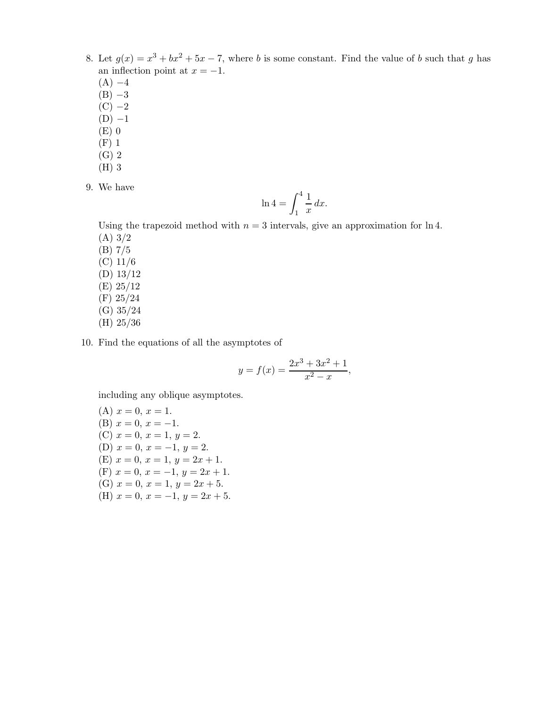- 8. Let  $g(x) = x^3 + bx^2 + 5x 7$ , where b is some constant. Find the value of b such that g has an inflection point at  $x = -1$ .
	- $(A) -4$
	- $(B) -3$
	- $(C)$  –2
	- $(D) -1$
	- (E) 0
	- (F) 1
	- (G) 2
	- (H) 3
- 9. We have

$$
\ln 4 = \int_1^4 \frac{1}{x} \, dx.
$$

Using the trapezoid method with  $n = 3$  intervals, give an approximation for ln 4. (A) 3/2

- (B) 7/5 (C) 11/6 (D) 13/12
- (E) 25/12 (F) 25/24
- (G) 35/24
- (H) 25/36

10. Find the equations of all the asymptotes of

$$
y = f(x) = \frac{2x^3 + 3x^2 + 1}{x^2 - x},
$$

including any oblique asymptotes.

(A) 
$$
x = 0
$$
,  $x = 1$ .  
\n(B)  $x = 0$ ,  $x = -1$ .  
\n(C)  $x = 0$ ,  $x = 1$ ,  $y = 2$ .  
\n(D)  $x = 0$ ,  $x = -1$ ,  $y = 2$ .  
\n(E)  $x = 0$ ,  $x = 1$ ,  $y = 2x + 1$ .  
\n(F)  $x = 0$ ,  $x = -1$ ,  $y = 2x + 5$ .  
\n(G)  $x = 0$ ,  $x = 1$ ,  $y = 2x + 5$ .  
\n(H)  $x = 0$ ,  $x = -1$ ,  $y = 2x + 5$ .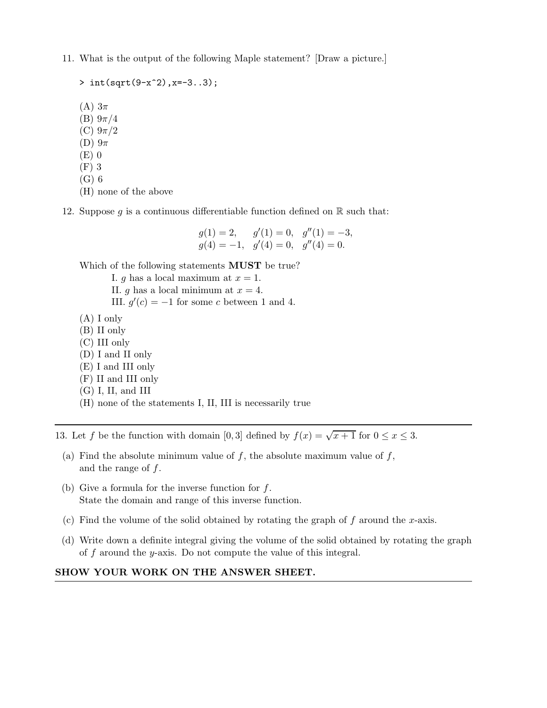11. What is the output of the following Maple statement? [Draw a picture.]

 $> int(sqrt(9-x^2),x=-3..3);$ (A)  $3\pi$ (B)  $9π/4$ (C)  $9π/2$ (D)  $9\pi$ (E) 0 (F) 3 (G) 6 (H) none of the above

12. Suppose g is a continuous differentiable function defined on  $\mathbb R$  such that:

$$
g(1) = 2,
$$
  $g'(1) = 0,$   $g''(1) = -3,$   
\n $g(4) = -1,$   $g'(4) = 0,$   $g''(4) = 0.$ 

Which of the following statements **MUST** be true?

I. g has a local maximum at  $x = 1$ . II. g has a local minimum at  $x = 4$ . III.  $g'(c) = -1$  for some c between 1 and 4.

- (A) I only
- (B) II only
- (C) III only
- (D) I and II only
- (E) I and III only
- (F) II and III only
- (G) I, II, and III
- (H) none of the statements I, II, III is necessarily true

13. Let f be the function with domain [0, 3] defined by  $f(x) = \sqrt{x+1}$  for  $0 \le x \le 3$ .

- (a) Find the absolute minimum value of  $f$ , the absolute maximum value of  $f$ , and the range of  $f$ .
- (b) Give a formula for the inverse function for  $f$ . State the domain and range of this inverse function.
- (c) Find the volume of the solid obtained by rotating the graph of  $f$  around the x-axis.
- (d) Write down a definite integral giving the volume of the solid obtained by rotating the graph of  $f$  around the  $y$ -axis. Do not compute the value of this integral.

## **SHOW YOUR WORK ON THE ANSWER SHEET.**